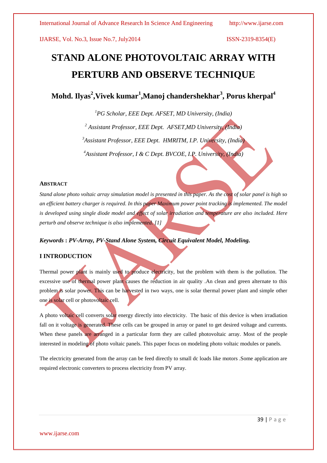# **STAND ALONE PHOTOVOLTAIC ARRAY WITH PERTURB AND OBSERVE TECHNIQUE**

 $\mathbf{M}$ ohd. Ilyas $^2$ ,Vivek kumar $^1$ ,Manoj chandershekhar $^3$ , Porus kherpal $^4$ 

*<sup>1</sup>PG Scholar, EEE Dept. AFSET, MD University, (India)*

*<sup>2</sup> Assistant Professor, EEE Dept. AFSET,MD University, (India)*

*<sup>3</sup>Assistant Professor, EEE Dept. HMRITM, I.P. University, (India)*

*<sup>4</sup>Assistant Professor, I & C Dept. BVCOE, I.P. University, (India)*

### **ABSTRACT**

*Stand alone photo voltaic array simulation model is presented in this paper. As the cost of solar panel is high so an efficient battery charger is required. In this paper Maximum power point tracking is implemented. The model is developed using single diode model and effect of solar irradiation and temperature are also included. Here perturb and observe technique is also implemented. [1]*

*Keywords* **:** *PV-Array, PV-Stand Alone System, Circuit Equivalent Model, Modeling.*

### **I INTRODUCTION**

Thermal power plant is mainly used to produce electricity, but the problem with them is the pollution. The excessive use of thermal power plant causes the reduction in air quality .An clean and green alternate to this problem is solar power. This can be harvested in two ways, one is solar thermal power plant and simple other one is solar cell or photovoltaic cell.

A photo voltaic cell converts solar energy directly into electricity. The basic of this device is when irradiation fall on it voltage is generated. These cells can be grouped in array or panel to get desired voltage and currents. When these panels are arranged in a particular form they are called photovoltaic array. Most of the people interested in modeling of photo voltaic panels. This paper focus on modeling photo voltaic modules or panels.

The electricity generated from the array can be feed directly to small dc loads like motors .Some application are required electronic converters to process electricity from PV array.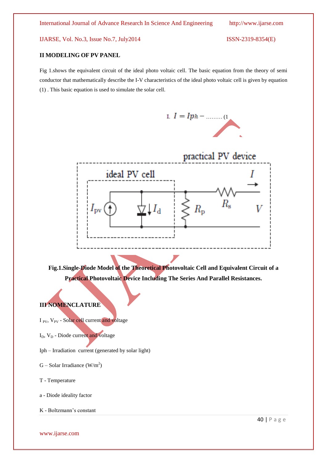#### **II MODELING OF PV PANEL**

Fig 1.shows the equivalent circuit of the ideal photo voltaic cell. The basic equation from the theory of semi conductor that mathematically describe the I-V characteristics of the ideal photo voltaic cell is given by equation (1) . This basic equation is used to simulate the solar cell.



I.  $I = Iph - \dots (1)$ 

**Fig.1.Single-Diode Model of the Theoretical Photovoltaic Cell and Equivalent Circuit of a Practical Photovoltaic Device Including The Series And Parallel Resistances.**

## **III NOMENCLATURE**

- I <sub>PV</sub>, V<sub>PV</sub> Solar cell current and voltage
- $I<sub>D</sub>$ ,  $V<sub>D</sub>$  Diode current and voltage
- Iph Irradiation current (generated by solar light)
- $G -$  Solar Irradiance (W/m<sup>2</sup>)
- T Temperature

a - Diode ideality factor

K - Boltzmann's constant

www.ijarse.com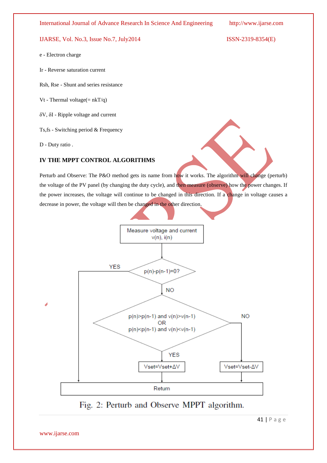#### International Journal of Advance Research In Science And Engineering http://www.ijarse.com

#### IJARSE, Vol. No.3, Issue No.7, July2014 ISSN-2319-8354(E)

e - Electron charge

Ir - Reverse saturation current

Rsh, Rse - Shunt and series resistance

Vt - Thermal voltage $(= nkT/q)$ 

δV, δI - Ripple voltage and current

Ts,fs - Switching period & Frequency

D - Duty ratio .

## **IV THE MPPT CONTROL ALGORITHMS**

Perturb and Observe: The P&O method gets its name from how it works. The algorithm will change (perturb) the voltage of the PV panel (by changing the duty cycle), and then measure (observe) how the power changes. If the power increases, the voltage will continue to be changed in this direction. If a change in voltage causes a decrease in power, the voltage will then be changed in the other direction.



Fig. 2: Perturb and Observe MPPT algorithm.

41 | P a g e

www.ijarse.com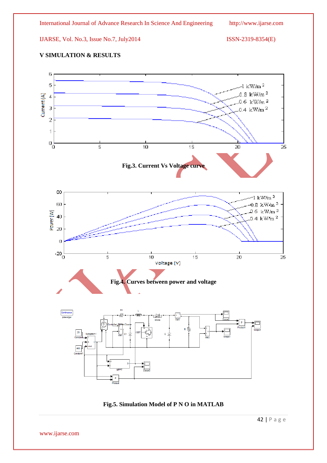## **V SIMULATION & RESULTS**



**Fig.5. Simulation Model of P N O in MATLAB**

42 | P a g e

www.ijarse.com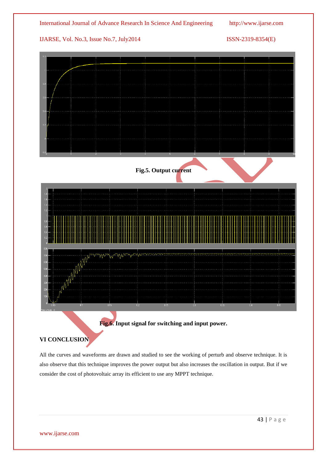

# **VI CONCLUSION**

All the curves and waveforms are drawn and studied to see the working of perturb and observe technique. It is also observe that this technique improves the power output but also increases the oscillation in output. But if we consider the cost of photovoltaic array its efficient to use any MPPT technique.